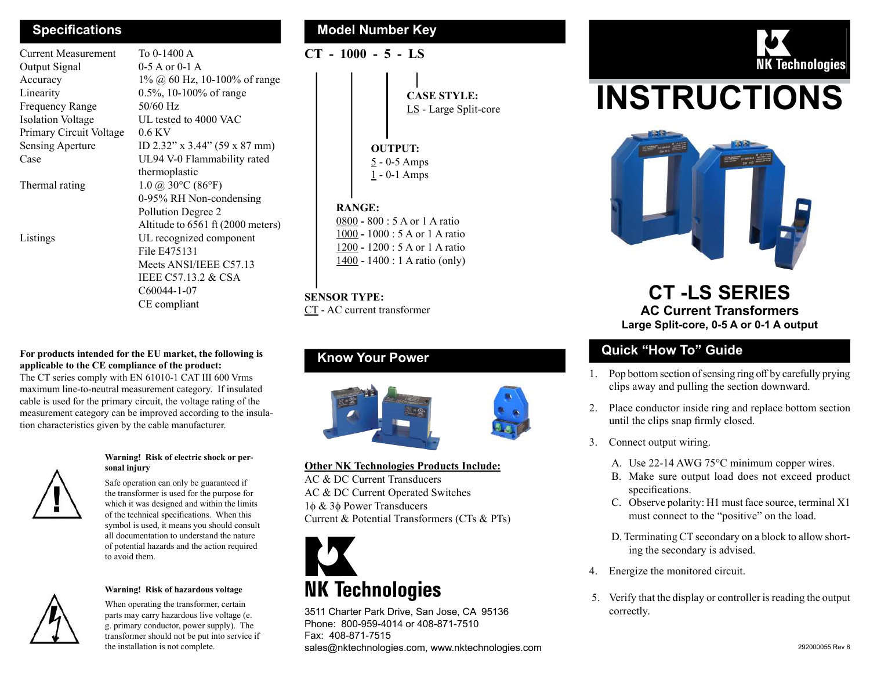Current Measurement To 0-1400 A Output Signal 0-5 A or 0-1 A Frequency Range 50/60 Hz Isolation Voltage UL tested to 4000 VAC Primary Circuit Voltage 0.6 KV

Accuracy  $1\%$   $\omega$  60 Hz, 10-100% of range Linearity 0.5%, 10-100% of range Sensing Aperture ID 2.32" x 3.44" (59 x 87 mm) Case UL94 V-0 Flammability rated thermoplastic Thermal rating  $1.0 \ (\partial) \ 30^{\circ}C \ (86^{\circ}F)$  0-95% RH Non-condensing Pollution Degree 2 Altitude to 6561 ft (2000 meters) Listings UL recognized component File E475131 Meets ANSI/IEEE C57.13 IEEE C57.13.2 & CSA C60044-1-07 CE compliant

#### For products intended for the EU market, the following is applicable to the CE compliance of the product:

The CT series comply with EN 61010-1 CAT III 600 Vrms maximum line-to-neutral measurement category. If insulated cable is used for the primary circuit, the voltage rating of the measurement category can be improved according to the insulation characteristics given by the cable manufacturer.



#### Warning! Risk of electric shock or personal injury

Safe operation can only be guaranteed if the transformer is used for the purpose for which it was designed and within the limits of the technical specifications. When this symbol is used, it means you should consult all documentation to understand the nature of potential hazards and the action required to avoid them.



#### Warning! Risk of hazardous voltage

When operating the transformer, certain parts may carry hazardous live voltage (e. g. primary conductor, power supply). The transformer should not be put into service if the installation is not complete.

### Specifications **Model Number Key Model Number Key**

CT - 1000 - 5 - LS

CASE STYLE: LS - Large Split-core

# OUTPUT:

5 - 0-5 Amps  $1 - 0 - 1$  Amps

#### RANGE:

 - 800 : 5 A or 1 A ratio - 1000 : 5 A or 1 A ratio - 1200 : 5 A or 1 A ratio 1400 - 1400 : 1 A ratio (only)

#### SENSOR TYPE:

CT - AC current transformer

# Know Your Power



#### Other NK Technologies Products Include:

AC & DC Current Transducers AC & DC Current Operated Switches  $1\phi \& 3\phi$  Power Transducers Current & Potential Transformers (CTs & PTs)



3511 Charter Park Drive, San Jose, CA 95136 Phone: 800-959-4014 or 408-871-7510 Fax: 408-871-7515 sales@nktechnologies.com, www.nktechnologies.com 292000055 Rev 6



# INSTRUCTIONS



# CT -LS SERIES AC Current Transformers Large Split-core, 0-5 A or 0-1 A output

# Quick "How To" Guide

- 1. Pop bottom section of sensing ring off by carefully prying clips away and pulling the section downward.
- 2. Place conductor inside ring and replace bottom section until the clips snap firmly closed.
- 3. Connect output wiring.
	- A. Use 22-14 AWG 75°C minimum copper wires.
	- B. Make sure output load does not exceed product specifications.
	- C. Observe polarity: H1 must face source, terminal X1 must connect to the "positive" on the load.
	- D. Terminating CT secondary on a block to allow shorting the secondary is advised.
- 4. Energize the monitored circuit.
- 5. Verify that the display or controller is reading the output correctly.